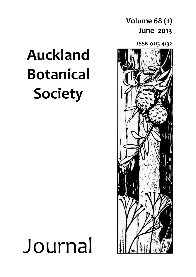### **Volume 68 (1) June 2013**

**ISSN 0113-4132**



## **Auckland Botanical Society**

# Journal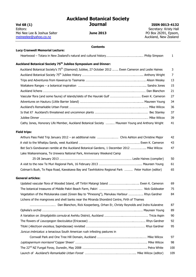## **Auckland Botanical Society**

**Vol 68 (1)**<br> **ISSN 0013-4132**<br> **ISSN 0013-4132**<br> **ISSN 0013-4132**<br>
Secretary: Kristy Hall Editors:<br>
Mei Nee Lee & Joshua Salter **Secretary: Kristy Hall**<br>
Mei Nee Lee & Joshua Salter **Secretary: Kristy Hall** Mei Nee Lee & Joshua Salter **June 2013** PO Box 26391, Epsom, [meineelee@yahoo.co.nz](mailto:meineelee@yahoo.co.nz) Auckland, New Zealand meineelee@yahoo.co.nz

#### **Lucy Cranwell Memorial Lecture:**

#### **Contents**

|                                                                                                                  | $\mathbf{1}$ |
|------------------------------------------------------------------------------------------------------------------|--------------|
| Auckland Botanical Society 75 <sup>th</sup> Jubilee Symposium and Dinner:                                        |              |
| Auckland Botanical Society's 75 <sup>th</sup> (Diamond) Jubilee, 27 October 2012  Ewen Cameron and Leslie Haines | 3            |
|                                                                                                                  | 7            |
|                                                                                                                  | 13           |
|                                                                                                                  | 15           |
|                                                                                                                  | 21           |
|                                                                                                                  | 27           |
|                                                                                                                  | 34           |
|                                                                                                                  | 36           |
|                                                                                                                  | 37           |
|                                                                                                                  | 39           |
| Cathy Jones, Honorary Life Member, Auckland Botanical Society  Maureen Young and Anthony Wright                  | 41           |
| Field trips:                                                                                                     |              |
| Arthurs Pass Field Trip January 2012 - an additional note  Chris Ashton and Christine Major                      | 42           |
|                                                                                                                  | 43           |
| Bot Soc's Gondwanan ramble at the Auckland Botanical Gardens, 1 December 2012  Mike Wilcox                       | 47           |
| Lake Waikaremoana, Te Urewera National Park, Anniversary Weekend Camp                                            |              |
|                                                                                                                  | 50           |
|                                                                                                                  | 61           |
| Cotman's Bush, Te Papa Road, Kawakawa Bay and Tawhitokino Regional Park  Peter Hutton (editor)                   | 65           |
| <b>General articles:</b>                                                                                         |              |
|                                                                                                                  | 69           |
|                                                                                                                  | 75           |
| Vegetation of the Motukaraka coast (Green Bay to "Pinesong"), Manukau Harbour  Rhys Gardner                      | 84           |
| Lichens of the mangroves and shell banks near the Miranda Shorebird Centre, Firth of Thames                      |              |
|                                                                                                                  | 87           |
|                                                                                                                  | 89           |
|                                                                                                                  | 90           |
|                                                                                                                  | 92           |
|                                                                                                                  | 95           |
| Juncus imbricatus: a tenacious South American rush infesting pastures in                                         |              |
|                                                                                                                  | 97           |
|                                                                                                                  | 98           |
|                                                                                                                  | 100          |
|                                                                                                                  | 109          |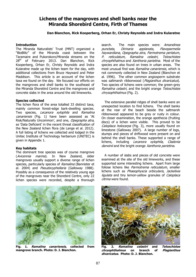#### **Lichens of the mangroves and shell banks near the Miranda Shorebird Centre, Firth of Thames**

#### **Dan Blanchon, Rick Kooperberg, Orhan Er, Christy Reynolds and Indra Kularatne**

#### **Introduction**

The Miranda Naturalists' Trust (MNT) organized a "BioBlitz" of the Miranda coast between the Taramaire and Pukorokoro/Miranda streams on the 28<sup>th</sup> of February 2013. Dan Blanchon, Rick Kooperberg, Orhan Er, Christy Reynolds and Indra Kularatne made up the lichen team for the day, with additional collections from Bruce Hayward and Peter Maddison. This article is an account of the lichen taxa we found on the day. We focused our efforts on the mangroves and shell banks to the southeast of the Miranda Shorebird Centre and the mangroves and concrete slabs in the area around the old limeworks.

#### **Species collected**

The lichen flora of the area totalled 33 distinct taxa, mainly common forest-edge bark-dwelling species. Two species, Lecanora xylophila and Ramalina canariensis (Fig. 1) have been assessed as `At Risk/Naturally Uncommon', and one, Opegrapha atra, as 'Data Deficient' in the recent threat classification of the New Zealand lichen flora (de Lange et al. 2012). A full listing of lichens we collected and lodged in the Unitec Institute of Technology herbarium (UNITEC) is given in Appendix 1.

#### **Key habitats**

The dominant tree species was of course mangrove (Avicennia marina). In New Zealand, older mangroves usually support a diverse range of lichen species, particularly species of Ramalina (Bannister et al. 2004) and Pseudocyphellaria (Galloway 1988). Possibly as a consequence of the relatively young age of the mangroves near the Shorebird Centre, only 22 lichen species were recorded, despite a thorough

search. The main species were: Amandinea punctata, Dirinaria applanata, Flavoparmelia haywardiana, Opegrapha atra, Parmotrema perlatum, P. reticulatum, Ramalina celastri, Teloschistes chryophthalmus and Xanthoria parietina. Most of the species are also found on trees in urban areas. The most unusual find was Ramalina canariensis, which is not commonly collected in New Zealand (Blanchon et al. 1996). The other common angiosperm substrate was saltmarsh ribbonwood (Plagianthus divaricatus). Two species of lichens were common; the green-grey Ramalina celastri, and the bright orange Teloschistes chrysophthalmus (Fig. 2).

 The extensive parallel ridges of shell banks were an unexpected location to find lichens. The shell banks at the rear of the beach beside the saltmarsh ribbonwood appeared to be grey or rusty in colour. On closer examination, the orange apothecia (fruiting discs) of a lichen were visible. This proved to be Caloplaca holocarpa (Fig. 3), more usually found on limestone (Galloway 2007). A large number of logs, stumps and pieces of driftwood were present on and behind the shell banks. These supported a range of lichens, including Lecanora xylophila, Cladonia darwinii and the bright orange Xanthoria parietina.

 A number of slabs and pieces of old concrete were examined at the site of the old limeworks, and these supported some interesting lichens. Apart from large foliose lichens like Parmotrema reticulatum, smaller lichens such as Phaeophyscia orbicularis, Jackelixia ligulata and tiny lemon-yellow granules of Caloplaca citrina were found.



**Fig. 1. Ramalina canariensis, collected from mangrove branch. Photo: D. J. Blanchon.** 



**Fig. 2. Ramalina celastri and Teloschistes chryophthalmus on branch of Plagianthus divaricatus. Photo: D. J. Blanchon.**